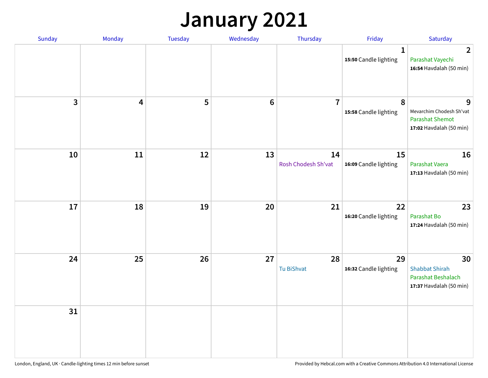### **January 2021**

| Sunday | Monday                  | Tuesday | Wednesday | Thursday                  | Friday                               | Saturday                                                                           |
|--------|-------------------------|---------|-----------|---------------------------|--------------------------------------|------------------------------------------------------------------------------------|
|        |                         |         |           |                           | $\mathbf 1$<br>15:50 Candle lighting | $\overline{2}$<br>Parashat Vayechi<br>16:54 Havdalah (50 min)                      |
| 3      | $\overline{\mathbf{4}}$ | 5       | $\bf 6$   | $\overline{7}$            | 8<br>15:58 Candle lighting           | 9<br>Mevarchim Chodesh Sh'vat<br><b>Parashat Shemot</b><br>17:02 Havdalah (50 min) |
| 10     | $11\,$                  | 12      | 13        | 14<br>Rosh Chodesh Sh'vat | 15<br>16:09 Candle lighting          | 16<br>Parashat Vaera<br>17:13 Havdalah (50 min)                                    |
| 17     | 18                      | 19      | 20        | 21                        | 22<br>16:20 Candle lighting          | 23<br>Parashat Bo<br>17:24 Havdalah (50 min)                                       |
| 24     | 25                      | 26      | 27        | 28<br>Tu BiShvat          | 29<br>16:32 Candle lighting          | 30<br><b>Shabbat Shirah</b><br>Parashat Beshalach<br>17:37 Havdalah (50 min)       |
| 31     |                         |         |           |                           |                                      |                                                                                    |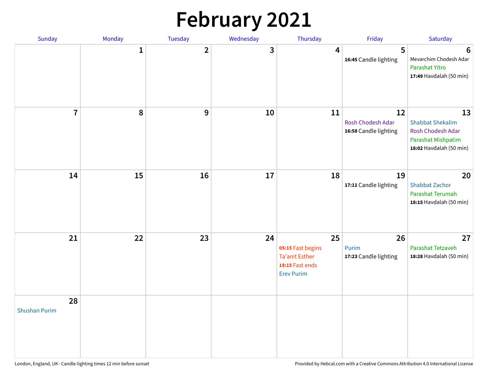# **February 2021**

| Sunday                     | Monday       | <b>Tuesday</b> | Wednesday | Thursday                                                                                 | Friday                                           | Saturday                                                                                            |
|----------------------------|--------------|----------------|-----------|------------------------------------------------------------------------------------------|--------------------------------------------------|-----------------------------------------------------------------------------------------------------|
|                            | $\mathbf{1}$ | $\overline{2}$ | 3         | 4                                                                                        | 5<br>16:45 Candle lighting                       | $6\phantom{1}6$<br>Mevarchim Chodesh Adar<br>Parashat Yitro<br>17:49 Havdalah (50 min)              |
| $\overline{7}$             | $\pmb{8}$    | 9              | 10        | 11                                                                                       | 12<br>Rosh Chodesh Adar<br>16:58 Candle lighting | 13<br><b>Shabbat Shekalim</b><br>Rosh Chodesh Adar<br>Parashat Mishpatim<br>18:02 Havdalah (50 min) |
| 14                         | 15           | 16             | 17        | 18                                                                                       | 19<br>17:11 Candle lighting                      | 20<br><b>Shabbat Zachor</b><br>Parashat Terumah<br>18:15 Havdalah (50 min)                          |
| 21                         | 22           | 23             | 24        | 25<br>05:15 Fast begins<br><b>Ta'anit Esther</b><br>18:15 Fast ends<br><b>Erev Purim</b> | 26<br>Purim<br>17:23 Candle lighting             | 27<br>Parashat Tetzaveh<br>18:28 Havdalah (50 min)                                                  |
| 28<br><b>Shushan Purim</b> |              |                |           |                                                                                          |                                                  |                                                                                                     |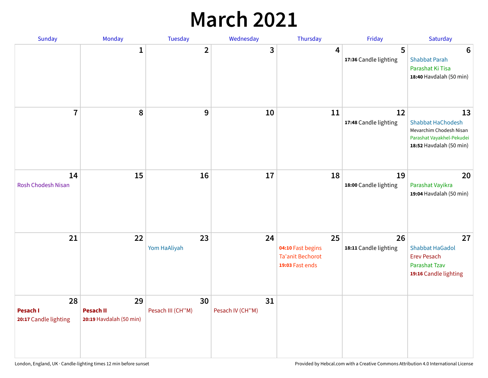### **March 2021**

| Sunday                                  | Monday                                            | Tuesday                 | Wednesday              | Thursday                                                              | Friday                      | Saturday                                                                                                          |
|-----------------------------------------|---------------------------------------------------|-------------------------|------------------------|-----------------------------------------------------------------------|-----------------------------|-------------------------------------------------------------------------------------------------------------------|
|                                         | 1                                                 | $\overline{\mathbf{2}}$ | 3                      | 4                                                                     | 5<br>17:36 Candle lighting  | $6\phantom{1}6$<br><b>Shabbat Parah</b><br>Parashat Ki Tisa<br>18:40 Havdalah (50 min)                            |
| $\overline{7}$                          | 8                                                 | 9                       | 10                     | 11                                                                    | 12<br>17:48 Candle lighting | 13<br><b>Shabbat HaChodesh</b><br>Mevarchim Chodesh Nisan<br>Parashat Vayakhel-Pekudei<br>18:52 Havdalah (50 min) |
| 14<br><b>Rosh Chodesh Nisan</b>         | 15                                                | 16                      | 17                     | 18                                                                    | 19<br>18:00 Candle lighting | 20<br>Parashat Vayikra<br>19:04 Havdalah (50 min)                                                                 |
| 21                                      | 22                                                | 23<br>Yom HaAliyah      | 24                     | 25<br>04:10 Fast begins<br><b>Ta'anit Bechorot</b><br>19:03 Fast ends | 26<br>18:11 Candle lighting | 27<br><b>Shabbat HaGadol</b><br><b>Erev Pesach</b><br>Parashat Tzav<br>19:16 Candle lighting                      |
| 28<br>Pesach I<br>20:17 Candle lighting | 29<br><b>Pesach II</b><br>20:19 Havdalah (50 min) | 30<br>Pesach III (CH"M) | 31<br>Pesach IV (CH"M) |                                                                       |                             |                                                                                                                   |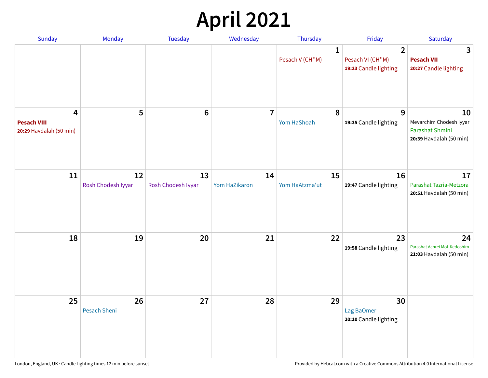# **April 2021**

| Sunday                                                                   | Monday                   | <b>Tuesday</b>           | Wednesday           | Thursday                        | Friday                                                      | Saturday                                                                    |
|--------------------------------------------------------------------------|--------------------------|--------------------------|---------------------|---------------------------------|-------------------------------------------------------------|-----------------------------------------------------------------------------|
|                                                                          |                          |                          |                     | $\mathbf{1}$<br>Pesach V (CH"M) | $\overline{2}$<br>Pesach VI (CH"M)<br>19:23 Candle lighting | 3<br><b>Pesach VII</b><br>20:27 Candle lighting                             |
| $\overline{\mathbf{4}}$<br><b>Pesach VIII</b><br>20:29 Havdalah (50 min) | 5                        | $6\phantom{1}6$          | $\overline{7}$      | 8<br>Yom HaShoah                | 9<br>19:35 Candle lighting                                  | 10<br>Mevarchim Chodesh Iyyar<br>Parashat Shmini<br>20:39 Havdalah (50 min) |
| 11                                                                       | 12<br>Rosh Chodesh Iyyar | 13<br>Rosh Chodesh Iyyar | 14<br>Yom HaZikaron | 15<br>Yom HaAtzma'ut            | 16<br>19:47 Candle lighting                                 | 17<br>Parashat Tazria-Metzora<br>20:51 Havdalah (50 min)                    |
| 18                                                                       | 19                       | 20                       | 21                  | 22                              | 23<br>19:58 Candle lighting                                 | 24<br>Parashat Achrei Mot-Kedoshim<br>21:03 Havdalah (50 min)               |
| 25                                                                       | 26<br>Pesach Sheni       | 27                       | 28                  | 29                              | 30<br>Lag BaOmer<br>20:10 Candle lighting                   |                                                                             |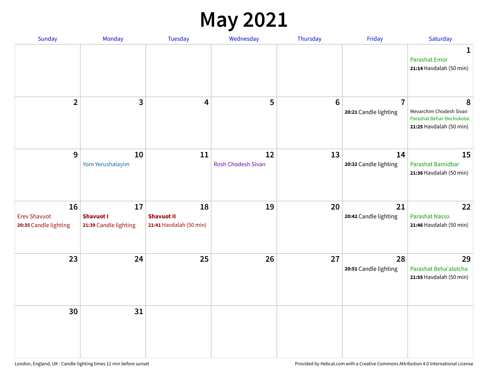#### **May 2021**

| <b>Sunday</b>                                      | Monday                                          | <b>Tuesday</b>                                     | Wednesday                | Thursday        | Friday                                  | Saturday                                                                             |
|----------------------------------------------------|-------------------------------------------------|----------------------------------------------------|--------------------------|-----------------|-----------------------------------------|--------------------------------------------------------------------------------------|
|                                                    |                                                 |                                                    |                          |                 |                                         | 1<br><b>Parashat Emor</b><br>21:14 Havdalah (50 min)                                 |
| $\mathbf{2}$                                       | $\mathbf{3}$                                    | 4                                                  | 5                        | $6\phantom{1}6$ | $\overline{7}$<br>20:21 Candle lighting | 8<br>Mevarchim Chodesh Sivan<br>Parashat Behar-Bechukotai<br>21:25 Havdalah (50 min) |
| $9$                                                | 10<br>Yom Yerushalayim                          | 11                                                 | 12<br>Rosh Chodesh Sivan | 13              | 14<br>20:32 Candle lighting             | 15<br>Parashat Bamidbar<br>21:36 Havdalah (50 min)                                   |
| 16<br><b>Erev Shavuot</b><br>20:35 Candle lighting | 17<br><b>Shavuot I</b><br>21:39 Candle lighting | 18<br><b>Shavuot II</b><br>21:41 Havdalah (50 min) | 19                       | 20              | 21<br>20:42 Candle lighting             | 22<br><b>Parashat Nasso</b><br>21:46 Havdalah (50 min)                               |
| 23                                                 | 24                                              | 25                                                 | 26                       | 27              | 28<br>20:51 Candle lighting             | 29<br>Parashat Beha'alotcha<br>21:55 Havdalah (50 min)                               |
| 30                                                 | 31                                              |                                                    |                          |                 |                                         |                                                                                      |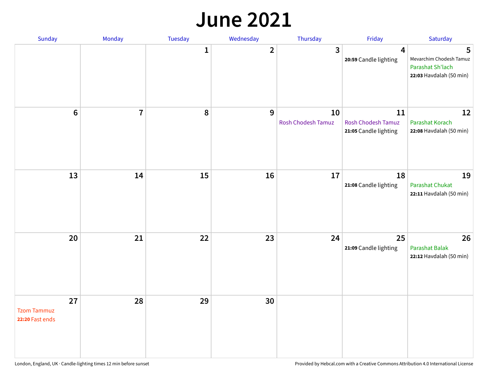#### **June 2021**

| Sunday                                      | Monday         | Tuesday      | Wednesday               | Thursday                 | Friday                                                   | Saturday                                                                    |
|---------------------------------------------|----------------|--------------|-------------------------|--------------------------|----------------------------------------------------------|-----------------------------------------------------------------------------|
|                                             |                | $\mathbf{1}$ | $\overline{\mathbf{2}}$ | 3                        | 4<br>20:59 Candle lighting                               | 5<br>Mevarchim Chodesh Tamuz<br>Parashat Sh'lach<br>22:03 Havdalah (50 min) |
| $6\phantom{a}$                              | $\overline{7}$ | 8            | $\overline{9}$          | 10<br>Rosh Chodesh Tamuz | 11<br><b>Rosh Chodesh Tamuz</b><br>21:05 Candle lighting | 12<br>Parashat Korach<br>22:08 Havdalah (50 min)                            |
| 13                                          | 14             | 15           | 16                      | 17                       | 18<br>21:08 Candle lighting                              | 19<br><b>Parashat Chukat</b><br>22:11 Havdalah (50 min)                     |
| 20                                          | 21             | 22           | 23                      | 24                       | 25<br>21:09 Candle lighting                              | 26<br><b>Parashat Balak</b><br>22:12 Havdalah (50 min)                      |
| 27<br><b>Tzom Tammuz</b><br>22:20 Fast ends | 28             | 29           | 30                      |                          |                                                          |                                                                             |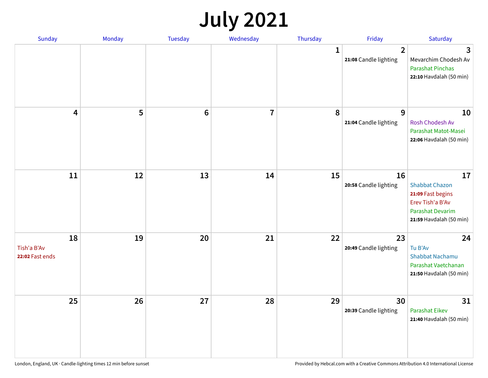# **July 2021**

| Sunday                               | Monday | <b>Tuesday</b> | Wednesday               | Thursday     | Friday                                  | Saturday                                                                                                                   |
|--------------------------------------|--------|----------------|-------------------------|--------------|-----------------------------------------|----------------------------------------------------------------------------------------------------------------------------|
|                                      |        |                |                         | $\mathbf{1}$ | $\overline{2}$<br>21:08 Candle lighting | 3<br>Mevarchim Chodesh Av<br><b>Parashat Pinchas</b><br>22:10 Havdalah (50 min)                                            |
| 4                                    | 5      | $\bf 6$        | $\overline{\mathbf{7}}$ | 8            | 9<br>21:04 Candle lighting              | 10<br>Rosh Chodesh Av<br>Parashat Matot-Masei<br>22:06 Havdalah (50 min)                                                   |
| 11                                   | 12     | 13             | 14                      | 15           | 16<br>20:58 Candle lighting             | 17<br><b>Shabbat Chazon</b><br>21:09 Fast begins<br>Erev Tish'a B'Av<br><b>Parashat Devarim</b><br>21:59 Havdalah (50 min) |
| 18<br>Tish'a B'Av<br>22:02 Fast ends | 19     | 20             | 21                      | 22           | 23<br>20:49 Candle lighting             | 24<br>Tu B'Av<br><b>Shabbat Nachamu</b><br>Parashat Vaetchanan<br>21:50 Havdalah (50 min)                                  |
| 25                                   | 26     | 27             | 28                      | 29           | 30<br>20:39 Candle lighting             | 31<br>Parashat Eikev<br>21:40 Havdalah (50 min)                                                                            |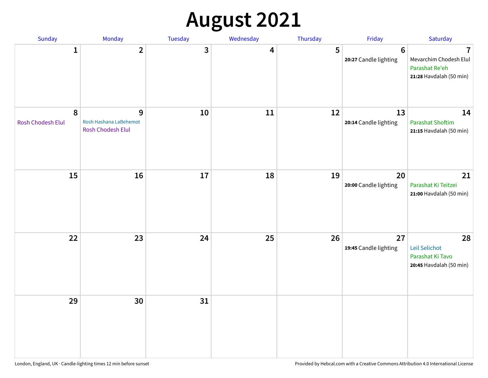# **August 2021**

| Sunday                        | Monday                                           | Tuesday | Wednesday | Thursday | Friday                                   | Saturday                                                                                       |
|-------------------------------|--------------------------------------------------|---------|-----------|----------|------------------------------------------|------------------------------------------------------------------------------------------------|
| 1                             | $\overline{2}$                                   | 3       | 4         | 5        | $6\phantom{1}6$<br>20:27 Candle lighting | $\overline{\mathbf{I}}$<br>Mevarchim Chodesh Elul<br>Parashat Re'eh<br>21:28 Havdalah (50 min) |
| 8<br><b>Rosh Chodesh Elul</b> | 9<br>Rosh Hashana LaBehemot<br>Rosh Chodesh Elul | 10      | 11        | 12       | 13<br>20:14 Candle lighting              | 14<br><b>Parashat Shoftim</b><br>21:15 Havdalah (50 min)                                       |
| 15                            | 16                                               | 17      | 18        | 19       | 20<br>20:00 Candle lighting              | 21<br>Parashat Ki Teitzei<br>21:00 Havdalah (50 min)                                           |
| 22                            | 23                                               | 24      | 25        | 26       | 27<br>19:45 Candle lighting              | 28<br>Leil Selichot<br>Parashat Ki Tavo<br>20:45 Havdalah (50 min)                             |
| 29                            | 30                                               | 31      |           |          |                                          |                                                                                                |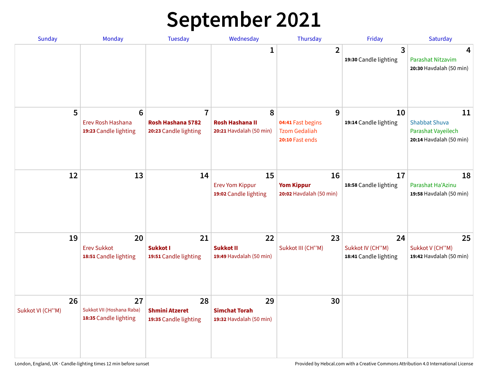# **September 2021**

| <b>Sunday</b>          | Monday                                                        | <b>Tuesday</b>                                               | Wednesday                                              | Thursday                                                          | Friday                                          | Saturday                                                                    |
|------------------------|---------------------------------------------------------------|--------------------------------------------------------------|--------------------------------------------------------|-------------------------------------------------------------------|-------------------------------------------------|-----------------------------------------------------------------------------|
|                        |                                                               |                                                              | 1                                                      | $\overline{2}$                                                    | 3<br>19:30 Candle lighting                      | 4<br>Parashat Nitzavim<br>20:30 Havdalah (50 min)                           |
| 5                      | $6\phantom{1}6$<br>Erev Rosh Hashana<br>19:23 Candle lighting | $\overline{7}$<br>Rosh Hashana 5782<br>20:23 Candle lighting | 8<br><b>Rosh Hashana II</b><br>20:21 Havdalah (50 min) | 9<br>04:41 Fast begins<br><b>Tzom Gedaliah</b><br>20:10 Fast ends | 10<br>19:14 Candle lighting                     | 11<br><b>Shabbat Shuva</b><br>Parashat Vayeilech<br>20:14 Havdalah (50 min) |
| 12                     | 13                                                            | 14                                                           | 15<br><b>Erev Yom Kippur</b><br>19:02 Candle lighting  | 16<br><b>Yom Kippur</b><br>20:02 Havdalah (50 min)                | 17<br>18:58 Candle lighting                     | 18<br>Parashat Ha'Azinu<br>19:58 Havdalah (50 min)                          |
| 19                     | 20<br><b>Erev Sukkot</b><br>18:51 Candle lighting             | 21<br><b>Sukkot I</b><br>19:51 Candle lighting               | 22<br><b>Sukkot II</b><br>19:49 Havdalah (50 min)      | 23<br>Sukkot III (CH"M)                                           | 24<br>Sukkot IV (CH"M)<br>18:41 Candle lighting | 25<br>Sukkot V (CH"M)<br>19:42 Havdalah (50 min)                            |
| 26<br>Sukkot VI (CH"M) | 27<br>Sukkot VII (Hoshana Raba)<br>18:35 Candle lighting      | 28<br><b>Shmini Atzeret</b><br>19:35 Candle lighting         | 29<br><b>Simchat Torah</b><br>19:32 Havdalah (50 min)  | 30                                                                |                                                 |                                                                             |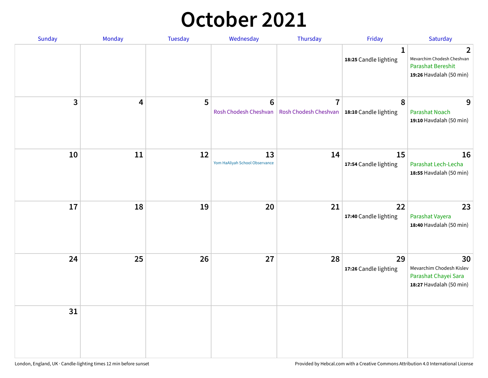### **October 2021**

| Sunday       | Monday | Tuesday | Wednesday                            | Thursday                                                        | Friday                                | Saturday                                                                                          |
|--------------|--------|---------|--------------------------------------|-----------------------------------------------------------------|---------------------------------------|---------------------------------------------------------------------------------------------------|
|              |        |         |                                      |                                                                 | $\mathbf{1}$<br>18:25 Candle lighting | $\mathbf{2}$<br>Mevarchim Chodesh Cheshvan<br><b>Parashat Bereshit</b><br>19:26 Havdalah (50 min) |
| $\mathbf{3}$ | 4      | 5       | $\bf 6$<br>Rosh Chodesh Cheshvan     | $\overline{7}$<br>Rosh Chodesh Cheshvan   18:10 Candle lighting | 8                                     | 9<br><b>Parashat Noach</b><br>19:10 Havdalah (50 min)                                             |
| 10           | 11     | 12      | 13<br>Yom HaAliyah School Observance | 14                                                              | 15<br>17:54 Candle lighting           | 16<br>Parashat Lech-Lecha<br>18:55 Havdalah (50 min)                                              |
| 17           | 18     | 19      | 20                                   | 21                                                              | 22<br>17:40 Candle lighting           | 23<br>Parashat Vayera<br>18:40 Havdalah (50 min)                                                  |
| 24           | 25     | 26      | 27                                   | 28                                                              | 29<br>17:26 Candle lighting           | 30<br>Mevarchim Chodesh Kislev<br>Parashat Chayei Sara<br>18:27 Havdalah (50 min)                 |
| 31           |        |         |                                      |                                                                 |                                       |                                                                                                   |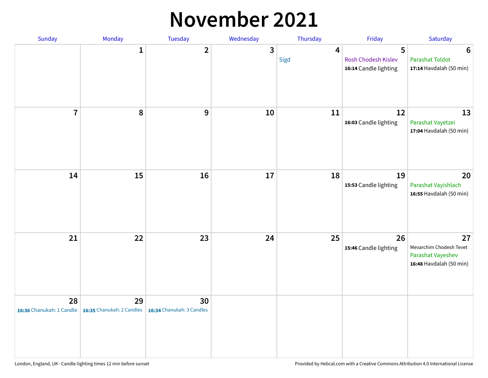#### **November 2021**

| Sunday         | Monday                                                   | Tuesday                         | Wednesday    | Thursday               | Friday                                            | Saturday                                                                      |
|----------------|----------------------------------------------------------|---------------------------------|--------------|------------------------|---------------------------------------------------|-------------------------------------------------------------------------------|
|                | $\mathbf{1}$                                             | $\overline{2}$                  | $\mathbf{3}$ | $\overline{4}$<br>Sigd | 5<br>Rosh Chodesh Kislev<br>16:14 Candle lighting | $6\phantom{1}6$<br><b>Parashat Toldot</b><br>17:14 Havdalah (50 min)          |
| $\overline{7}$ | 8                                                        | 9                               | 10           | 11                     | 12<br>16:03 Candle lighting                       | 13<br>Parashat Vayetzei<br>17:04 Havdalah (50 min)                            |
| 14             | 15                                                       | 16                              | 17           | 18                     | 19<br>15:53 Candle lighting                       | 20<br>Parashat Vayishlach<br>16:55 Havdalah (50 min)                          |
| 21             | 22                                                       | 23                              | 24           | 25                     | 26<br>15:46 Candle lighting                       | 27<br>Mevarchim Chodesh Tevet<br>Parashat Vayeshev<br>16:48 Havdalah (50 min) |
| 28             | 29<br>16:36 Chanukah: 1 Candle 16:35 Chanukah: 2 Candles | 30<br>16:34 Chanukah: 3 Candles |              |                        |                                                   |                                                                               |